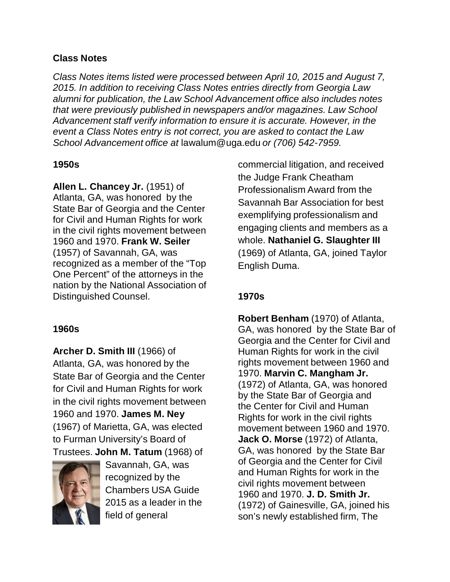## **Class Notes**

*Class Notes items listed were processed between April 10, 2015 and August 7, 2015. In addition to receiving Class Notes entries directly from Georgia Law alumni for publication, the Law School Advancement office also includes notes that were previously published in newspapers and/or magazines. Law School Advancement staff verify information to ensure it is accurate. However, in the event a Class Notes entry is not correct, you are asked to contact the Law School Advancement office at* [lawalum@uga.edu](mailto:lawalum@uga.edu) *or (706) 542-7959.*

## **1950s**

**Allen L. Chancey Jr.** (1951) of Atlanta, GA, was honored by the State Bar of Georgia and the Center for Civil and Human Rights for work in the civil rights movement between 1960 and 1970. **Frank W. Seiler** (1957) of Savannah, GA, was recognized as a member of the "Top One Percent" of the attorneys in the nation by the National Association of Distinguished Counsel.

# **1960s**

**Archer D. Smith III** (1966) of Atlanta, GA, was honored by the State Bar of Georgia and the Center for Civil and Human Rights for work in the civil rights movement between 1960 and 1970. **James M. Ney**  (1967) of Marietta, GA, was elected to Furman University's Board of Trustees. **John M. Tatum** (1968) of



Savannah, GA, was recognized by the Chambers USA Guide 2015 as a leader in the field of general

commercial litigation, and received the Judge Frank Cheatham Professionalism Award from the Savannah Bar Association for best exemplifying professionalism and engaging clients and members as a whole. **Nathaniel G. Slaughter III**  (1969) of Atlanta, GA, joined Taylor English Duma.

# **1970s**

**Robert Benham** (1970) of Atlanta, GA, was honored by the State Bar of Georgia and the Center for Civil and Human Rights for work in the civil rights movement between 1960 and 1970. **Marvin C. Mangham Jr.**  (1972) of Atlanta, GA, was honored by the State Bar of Georgia and the Center for Civil and Human Rights for work in the civil rights movement between 1960 and 1970. **Jack O. Morse** (1972) of Atlanta, GA, was honored by the State Bar of Georgia and the Center for Civil and Human Rights for work in the civil rights movement between 1960 and 1970. **J. D. Smith Jr.** (1972) of Gainesville, GA, joined his son's newly established firm, The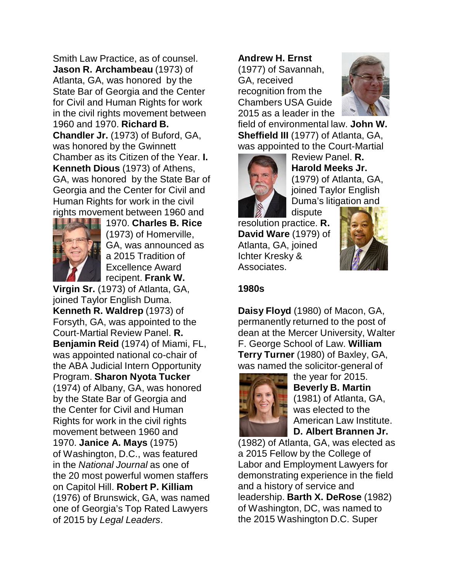Smith Law Practice, as of counsel. **Jason R. Archambeau** (1973) of Atlanta, GA, was honored by the State Bar of Georgia and the Center for Civil and Human Rights for work in the civil rights movement between 1960 and 1970. **Richard B. Chandler Jr.** (1973) of Buford, GA, was honored by the Gwinnett Chamber as its Citizen of the Year. **I. Kenneth Dious** (1973) of Athens, GA, was honored by the State Bar of Georgia and the Center for Civil and Human Rights for work in the civil rights movement between 1960 and



1970. **Charles B. Rice**  (1973) of Homerville, GA, was announced as a 2015 Tradition of Excellence Award recipent. **Frank W.**

**Virgin Sr.** (1973) of Atlanta, GA, joined Taylor English Duma. **Kenneth R. Waldrep** (1973) of Forsyth, GA, was appointed to the Court-Martial Review Panel. **R. Benjamin Reid** (1974) of Miami, FL, was appointed national co-chair of the ABA Judicial Intern Opportunity Program. **Sharon Nyota Tucker**  (1974) of Albany, GA, was honored by the State Bar of Georgia and the Center for Civil and Human Rights for work in the civil rights movement between 1960 and 1970. **Janice A. Mays** (1975) of Washington, D.C., was featured in the *National Journal* as one of the 20 most powerful women staffers on Capitol Hill. **Robert P. Killiam** (1976) of Brunswick, GA, was named one of Georgia's Top Rated Lawyers of 2015 by *Legal Leaders*.

# **Andrew H. Ernst**

(1977) of Savannah, GA, received recognition from the Chambers USA Guide 2015 as a leader in the



field of environmental law. **John W. Sheffield III** (1977) of Atlanta, GA, was appointed to the Court-Martial



Review Panel. **R. Harold Meeks Jr.**  (1979) of Atlanta, GA, joined Taylor English Duma's litigation and

dispute resolution practice. **R. David Ware** (1979) of Atlanta, GA, joined Ichter Kresky & Associates.



#### **1980s**

**Daisy Floyd** (1980) of Macon, GA, permanently returned to the post of dean at the Mercer University, Walter F. George School of Law. **William Terry Turner** (1980) of Baxley, GA, was named the solicitor-general of



the year for 2015. **Beverly B. Martin**  (1981) of Atlanta, GA, was elected to the American Law Institute. **D. Albert Brannen Jr.**

(1982) of Atlanta, GA, was elected as a 2015 Fellow by the College of Labor and Employment Lawyers for demonstrating experience in the field and a history of service and leadership. **Barth X. DeRose** (1982) of Washington, DC, was named to the 2015 Washington D.C. Super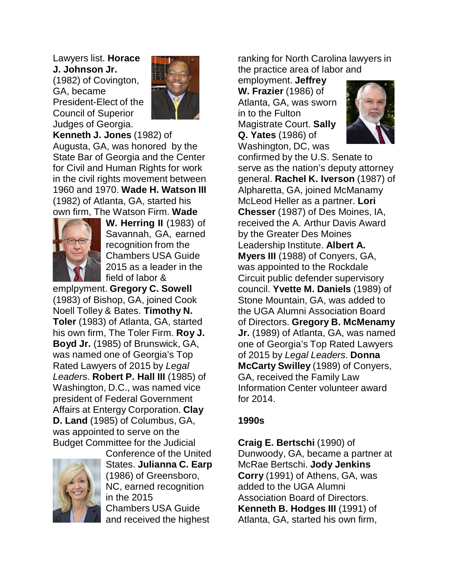Lawyers list. **Horace J. Johnson Jr.**  (1982) of Covington,

GA, became President-Elect of the Council of Superior Judges of Georgia.



**Kenneth J. Jones** (1982) of Augusta, GA, was honored by the State Bar of Georgia and the Center for Civil and Human Rights for work in the civil rights movement between 1960 and 1970. **Wade H. Watson III** (1982) of Atlanta, GA, started his own firm, The Watson Firm. **Wade**



**W. Herring II** (1983) of Savannah, GA, earned recognition from the Chambers USA Guide 2015 as a leader in the field of labor &

emplpyment. **Gregory C. Sowell** (1983) of Bishop, GA, joined Cook Noell Tolley & Bates. **Timothy N. Toler** (1983) of Atlanta, GA, started his own firm, The Toler Firm. **Roy J. Boyd Jr.** (1985) of Brunswick, GA, was named one of Georgia's Top Rated Lawyers of 2015 by *Legal Leaders*. **Robert P. Hall III** (1985) of Washington, D.C., was named vice president of Federal Government Affairs at Entergy Corporation. **Clay D. Land** (1985) of Columbus, GA, was appointed to serve on the Budget Committee for the Judicial



Conference of the United States. **Julianna C. Earp** (1986) of Greensboro, NC, earned recognition in the 2015 Chambers USA Guide and received the highest

ranking for North Carolina lawyers in the practice area of labor and

employment. **Jeffrey W. Frazier** (1986) of Atlanta, GA, was sworn in to the Fulton Magistrate Court. **Sally Q. Yates** (1986) of



Washington, DC, was confirmed by the U.S. Senate to serve as the nation's deputy attorney general. **Rachel K. Iverson** (1987) of Alpharetta, GA, joined McManamy McLeod Heller as a partner. **Lori Chesser** (1987) of Des Moines, IA, received the A. Arthur Davis Award by the Greater Des Moines Leadership Institute. **Albert A. Myers III** (1988) of Conyers, GA, was appointed to the Rockdale Circuit public defender supervisory council. **Yvette M. Daniels** (1989) of Stone Mountain, GA, was added to the UGA Alumni Association Board of Directors. **Gregory B. McMenamy Jr.** (1989) of Atlanta, GA, was named one of Georgia's Top Rated Lawyers of 2015 by *Legal Leaders*. **Donna McCarty Swilley** (1989) of Conyers, GA, received the Family Law Information Center volunteer award for 2014.

## **1990s**

**Craig E. Bertschi** (1990) of Dunwoody, GA, became a partner at McRae Bertschi. **Jody Jenkins Corry** (1991) of Athens, GA, was added to the UGA Alumni Association Board of Directors. **Kenneth B. Hodges III** (1991) of Atlanta, GA, started his own firm,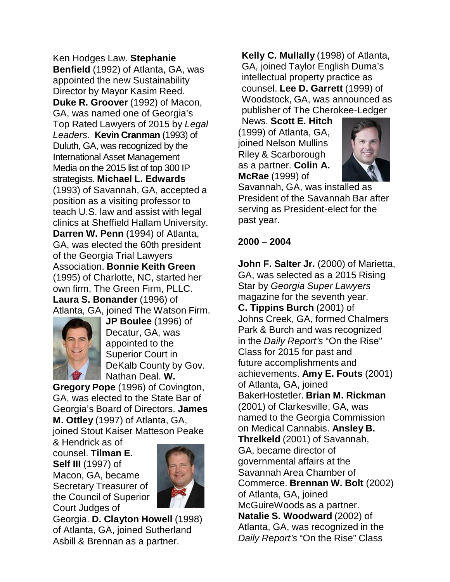Ken Hodges Law. **Stephanie Benfield** (1992) of Atlanta, GA, was appointed the new Sustainability Director by Mayor Kasim Reed. **Duke R. Groover** (1992) of Macon, GA, was named one of Georgia's Top Rated Lawyers of 2015 by *Legal Leaders*. **Kevin Cranman** (1993) of Duluth, GA, was recognized by the International Asset Management Media on the 2015 list of top 300 IP strategists. **Michael L. Edwards** (1993) of Savannah, GA, accepted a position as a visiting professor to teach U.S. law and assist with legal clinics at Sheffield Hallam University. **Darren W. Penn** (1994) of Atlanta, GA, was elected the 60th president of the Georgia Trial Lawyers Association. **Bonnie Keith Green**  (1995) of Charlotte, NC, started her own firm, The Green Firm, PLLC. **Laura S. Bonander** (1996) of Atlanta, GA, joined The Watson Firm.



**JP Boulee** (1996) of Decatur, GA, was appointed to the Superior Court in DeKalb County by Gov. Nathan Deal. **W.**

**Gregory Pope** (1996) of Covington, GA, was elected to the State Bar of Georgia's Board of Directors. **James M. Ottley** (1997) of Atlanta, GA, joined Stout Kaiser Matteson Peake

& Hendrick as of counsel. **Tilman E. Self III** (1997) of Macon, GA, became Secretary Treasurer of the Council of Superior Court Judges of



Georgia. **D. Clayton Howell** (1998) of Atlanta, GA, joined Sutherland Asbill & Brennan as a partner.

**Kelly C. Mullally** (1998) of Atlanta, GA, joined Taylor English Duma's intellectual property practice as counsel. **Lee D. Garrett** (1999) of Woodstock, GA, was announced as publisher of The Cherokee-Ledger

News. **Scott E. Hitch** (1999) of Atlanta, GA, joined Nelson Mullins Riley & Scarborough as a partner. **Colin A. McRae** (1999) of



Savannah, GA, was installed as President of the Savannah Bar after serving as President-elect for the past year.

#### **2000 – 2004**

**John F. Salter Jr.** (2000) of Marietta, GA, was selected as a 2015 Rising Star by *Georgia Super Lawyers*  magazine for the seventh year. **C. Tippins Burch** (2001) of Johns Creek, GA, formed Chalmers Park & Burch and was recognized in the *Daily Report's* "On the Rise" Class for 2015 for past and future accomplishments and achievements. **Amy E. Fouts** (2001) of Atlanta, GA, joined BakerHostetler. **Brian M. Rickman**  (2001) of Clarkesville, GA, was named to the Georgia Commission on Medical Cannabis. **Ansley B. Threlkeld** (2001) of Savannah, GA, became director of governmental affairs at the Savannah Area Chamber of Commerce. **Brennan W. Bolt** (2002) of Atlanta, GA, joined McGuireWoods as a partner. **Natalie S. Woodward** (2002) of Atlanta, GA, was recognized in the *Daily Report's* "On the Rise" Class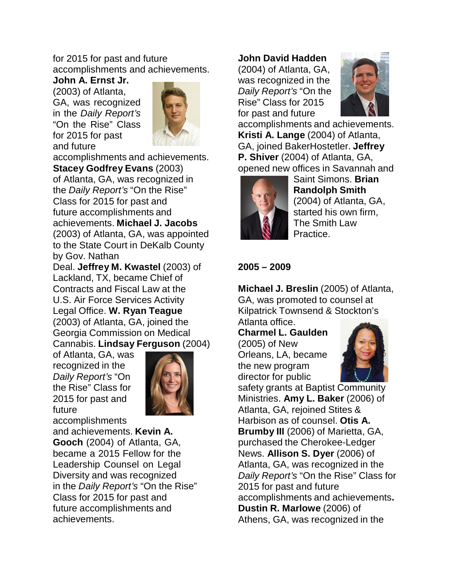# for 2015 for past and future accomplishments and achievements.

**John A. Ernst Jr.** (2003) of Atlanta, GA, was recognized in the *Daily Report's*  "On the Rise" Class for 2015 for past and future



accomplishments and achievements. **Stacey Godfrey Evans** (2003) of Atlanta, GA, was recognized in the *Daily Report's* "On the Rise" Class for 2015 for past and future accomplishments and achievements. **Michael J. Jacobs**  (2003) of Atlanta, GA, was appointed to the State Court in DeKalb County by Gov. Nathan

Deal. **Jeffrey M. Kwastel** (2003) of Lackland, TX, became Chief of Contracts and Fiscal Law at the U.S. Air Force Services Activity Legal Office. **W. Ryan Teague** (2003) of Atlanta, GA, joined the Georgia Commission on Medical Cannabis. **Lindsay Ferguson** (2004)

of Atlanta, GA, was recognized in the *Daily Report's* "On the Rise" Class for 2015 for past and future



accomplishments and achievements. **Kevin A. Gooch** (2004) of Atlanta, GA, became a 2015 Fellow for the Leadership Counsel on Legal Diversity and was recognized in the *Daily Report's* "On the Rise" Class for 2015 for past and future accomplishments and achievements.

#### **John David Hadden**

(2004) of Atlanta, GA, was recognized in the *Daily Report's* "On the Rise" Class for 2015 for past and future



accomplishments and achievements. **Kristi A. Lange** (2004) of Atlanta, GA, joined BakerHostetler. **Jeffrey P. Shiver** (2004) of Atlanta, GA, opened new offices in Savannah and



Saint Simons. **Brian Randolph Smith** (2004) of Atlanta, GA, started his own firm, The Smith Law Practice.

## **2005 – 2009**

**Michael J. Breslin** (2005) of Atlanta, GA, was promoted to counsel at Kilpatrick Townsend & Stockton's

Atlanta office.

**Charmel L. Gaulden** (2005) of New Orleans, LA, became the new program director for public



safety grants at Baptist Community Ministries. **Amy L. Baker** (2006) of Atlanta, GA, rejoined Stites & Harbison as of counsel. **Otis A. Brumby III** (2006) of Marietta, GA, purchased the Cherokee-Ledger News. **Allison S. Dyer** (2006) of Atlanta, GA, was recognized in the *Daily Report's* "On the Rise" Class for 2015 for past and future accomplishments and achievements**. Dustin R. Marlowe** (2006) of Athens, GA, was recognized in the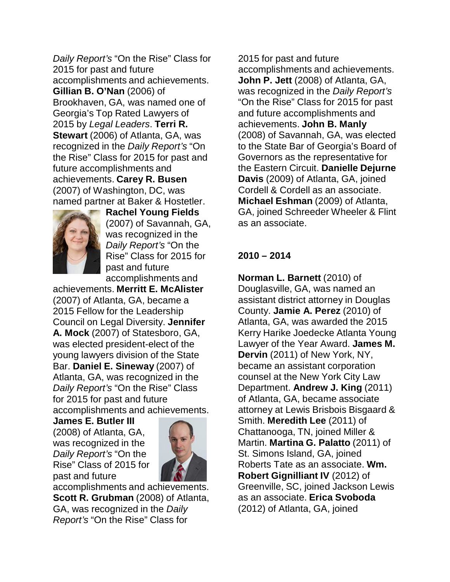*Daily Report's* "On the Rise" Class for 2015 for past and future accomplishments and achievements. **Gillian B. O'Nan** (2006) of Brookhaven, GA, was named one of Georgia's Top Rated Lawyers of 2015 by *Legal Leaders*. **Terri R. Stewart** (2006) of Atlanta, GA, was recognized in the *Daily Report's* "On the Rise" Class for 2015 for past and future accomplishments and achievements. **Carey R. Busen** (2007) of Washington, DC, was named partner at Baker & Hostetler.



**Rachel Young Fields** (2007) of Savannah, GA, was recognized in the *Daily Report's* "On the Rise" Class for 2015 for past and future accomplishments and

achievements. **Merritt E. McAlister** (2007) of Atlanta, GA, became a 2015 Fellow for the Leadership Council on Legal Diversity. **Jennifer A. Mock** (2007) of Statesboro, GA, was elected president-elect of the young lawyers division of the State Bar. **Daniel E. Sineway** (2007) of Atlanta, GA, was recognized in the *Daily Report's* "On the Rise" Class for 2015 for past and future accomplishments and achievements.

**James E. Butler III** (2008) of Atlanta, GA, was recognized in the *Daily Report's* "On the Rise" Class of 2015 for past and future



accomplishments and achievements. **Scott R. Grubman** (2008) of Atlanta, GA, was recognized in the *Daily Report's* "On the Rise" Class for

2015 for past and future accomplishments and achievements. **John P. Jett** (2008) of Atlanta, GA, was recognized in the *Daily Report's*  "On the Rise" Class for 2015 for past and future accomplishments and achievements. **John B. Manly** (2008) of Savannah, GA, was elected to the State Bar of Georgia's Board of Governors as the representative for the Eastern Circuit. **Danielle Dejurne Davis** (2009) of Atlanta, GA, joined Cordell & Cordell as an associate. **Michael Eshman** (2009) of Atlanta, GA, joined Schreeder Wheeler & Flint as an associate.

#### **2010 – 2014**

**Norman L. Barnett** (2010) of Douglasville, GA, was named an assistant district attorney in Douglas County. **Jamie A. Perez** (2010) of Atlanta, GA, was awarded the 2015 Kerry Harike Joedecke Atlanta Young Lawyer of the Year Award. **James M. Dervin** (2011) of New York, NY, became an assistant corporation counsel at the New York City Law Department. **Andrew J. King** (2011) of Atlanta, GA, became associate attorney at Lewis Brisbois Bisgaard & Smith. **Meredith Lee** (2011) of Chattanooga, TN, joined Miller & Martin. **Martina G. Palatto** (2011) of St. Simons Island, GA, joined Roberts Tate as an associate. **Wm. Robert Gignilliant IV** (2012) of Greenville, SC, joined Jackson Lewis as an associate. **Erica Svoboda**  (2012) of Atlanta, GA, joined